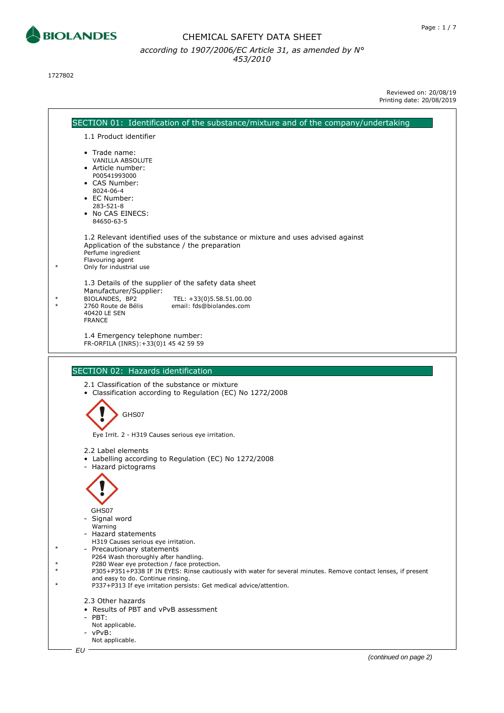

1727802



Reviewed on: 20/08/19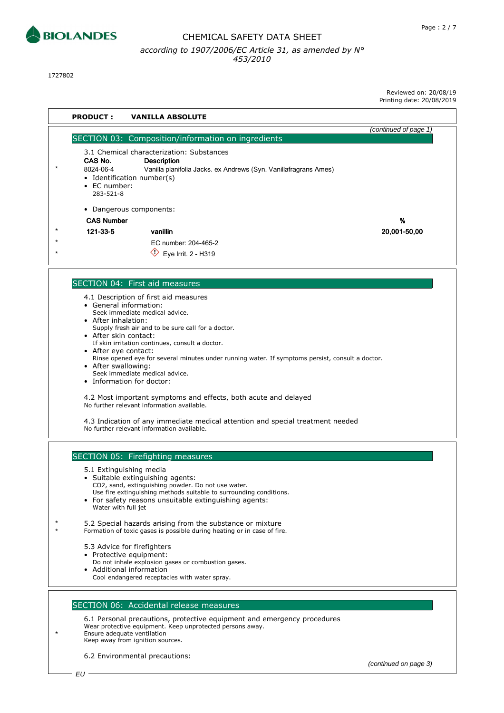

1727802

Reviewed on: 20/08/19 Printing date: 20/08/2019

| <b>PRODUCT:</b><br><b>VANILLA ABSOLUTE</b>                                                                                                                                                                             |                       |
|------------------------------------------------------------------------------------------------------------------------------------------------------------------------------------------------------------------------|-----------------------|
|                                                                                                                                                                                                                        | (continued of page 1) |
| SECTION 03: Composition/information on ingredients                                                                                                                                                                     |                       |
| 3.1 Chemical characterization: Substances<br>CAS No.<br><b>Description</b><br>8024-06-4<br>Vanilla planifolia Jacks. ex Andrews (Syn. Vanillafragrans Ames)<br>• Identification number(s)<br>• EC number:<br>283-521-8 |                       |
| • Dangerous components:                                                                                                                                                                                                |                       |
| <b>CAS Number</b>                                                                                                                                                                                                      | %                     |
| 121-33-5<br>vanillin                                                                                                                                                                                                   | 20,001-50,00          |
| EC number: 204-465-2                                                                                                                                                                                                   |                       |
| Eye Irrit. 2 - H319                                                                                                                                                                                                    |                       |
| SECTION 04: First aid measures                                                                                                                                                                                         |                       |
|                                                                                                                                                                                                                        |                       |
| 4.1 Description of first aid measures<br>• General information:                                                                                                                                                        |                       |
| Seek immediate medical advice.                                                                                                                                                                                         |                       |
| • After inhalation:<br>Supply fresh air and to be sure call for a doctor.                                                                                                                                              |                       |
| • After skin contact:                                                                                                                                                                                                  |                       |
| If skin irritation continues, consult a doctor.<br>• After eye contact:                                                                                                                                                |                       |
| Rinse opened eye for several minutes under running water. If symptoms persist, consult a doctor.                                                                                                                       |                       |
| • After swallowing:<br>Seek immediate medical advice.                                                                                                                                                                  |                       |
| • Information for doctor:                                                                                                                                                                                              |                       |
| 4.2 Most important symptoms and effects, both acute and delayed<br>No further relevant information available.                                                                                                          |                       |
| 4.3 Indication of any immediate medical attention and special treatment needed<br>No further relevant information available.                                                                                           |                       |
|                                                                                                                                                                                                                        |                       |
| SECTION 05: Firefighting measures                                                                                                                                                                                      |                       |
| 5.1 Extinguishing media<br>• Suitable extinguishing agents:                                                                                                                                                            |                       |
| CO2, sand, extinguishing powder. Do not use water.                                                                                                                                                                     |                       |
| Use fire extinguishing methods suitable to surrounding conditions.<br>• For safety reasons unsuitable extinguishing agents:                                                                                            |                       |
| Water with full jet                                                                                                                                                                                                    |                       |
| 5.2 Special hazards arising from the substance or mixture<br>Formation of toxic gases is possible during heating or in case of fire.                                                                                   |                       |
| 5.3 Advice for firefighters                                                                                                                                                                                            |                       |
| • Protective equipment:                                                                                                                                                                                                |                       |
| Do not inhale explosion gases or combustion gases.<br>• Additional information                                                                                                                                         |                       |
| Cool endangered receptacles with water spray.                                                                                                                                                                          |                       |
|                                                                                                                                                                                                                        |                       |
| SECTION 06: Accidental release measures                                                                                                                                                                                |                       |
| 6.1 Personal precautions, protective equipment and emergency procedures                                                                                                                                                |                       |
| Wear protective equipment. Keep unprotected persons away.<br>Ensure adequate ventilation                                                                                                                               |                       |
| Keep away from ignition sources.                                                                                                                                                                                       |                       |

6.2 Environmental precautions:

(continued on page 3)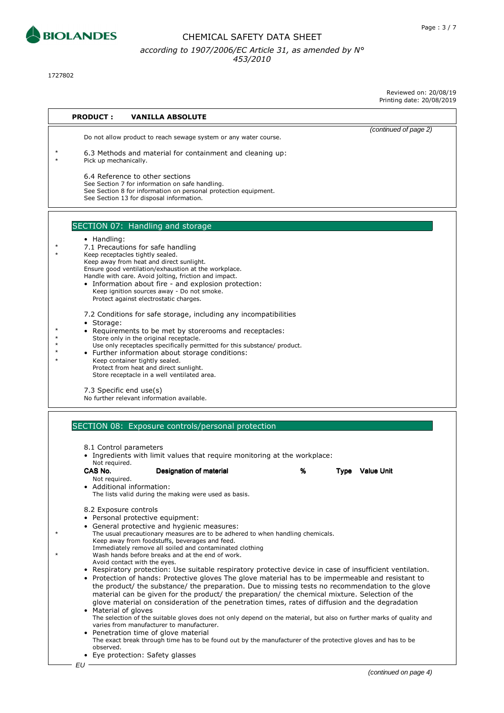

1727802

Reviewed on: 20/08/19 Printing date: 20/08/2019

| <b>PRODUCT:</b>          | <b>VANILLA ABSOLUTE</b>                                                                                                                                                                                                                                                                                                                                                                                                                                                                                                 |   |                       |
|--------------------------|-------------------------------------------------------------------------------------------------------------------------------------------------------------------------------------------------------------------------------------------------------------------------------------------------------------------------------------------------------------------------------------------------------------------------------------------------------------------------------------------------------------------------|---|-----------------------|
|                          | Do not allow product to reach sewage system or any water course.                                                                                                                                                                                                                                                                                                                                                                                                                                                        |   | (continued of page 2) |
| Pick up mechanically.    | 6.3 Methods and material for containment and cleaning up:                                                                                                                                                                                                                                                                                                                                                                                                                                                               |   |                       |
|                          | 6.4 Reference to other sections<br>See Section 7 for information on safe handling.<br>See Section 8 for information on personal protection equipment.<br>See Section 13 for disposal information.                                                                                                                                                                                                                                                                                                                       |   |                       |
|                          |                                                                                                                                                                                                                                                                                                                                                                                                                                                                                                                         |   |                       |
|                          | SECTION 07: Handling and storage                                                                                                                                                                                                                                                                                                                                                                                                                                                                                        |   |                       |
| • Handling:              | 7.1 Precautions for safe handling<br>Keep receptacles tightly sealed.<br>Keep away from heat and direct sunlight.<br>Ensure good ventilation/exhaustion at the workplace.<br>Handle with care. Avoid jolting, friction and impact.                                                                                                                                                                                                                                                                                      |   |                       |
|                          | • Information about fire - and explosion protection:<br>Keep ignition sources away - Do not smoke.<br>Protect against electrostatic charges.                                                                                                                                                                                                                                                                                                                                                                            |   |                       |
| • Storage:               | 7.2 Conditions for safe storage, including any incompatibilities<br>• Requirements to be met by storerooms and receptacles:<br>Store only in the original receptacle.                                                                                                                                                                                                                                                                                                                                                   |   |                       |
|                          | Use only receptacles specifically permitted for this substance/ product.<br>• Further information about storage conditions:<br>Keep container tightly sealed.                                                                                                                                                                                                                                                                                                                                                           |   |                       |
|                          | Protect from heat and direct sunlight.<br>Store receptacle in a well ventilated area.                                                                                                                                                                                                                                                                                                                                                                                                                                   |   |                       |
| 7.3 Specific end use(s)  | No further relevant information available.                                                                                                                                                                                                                                                                                                                                                                                                                                                                              |   |                       |
|                          | SECTION 08: Exposure controls/personal protection                                                                                                                                                                                                                                                                                                                                                                                                                                                                       |   |                       |
| 8.1 Control parameters   | • Ingredients with limit values that require monitoring at the workplace:                                                                                                                                                                                                                                                                                                                                                                                                                                               |   |                       |
| Not required.<br>CAS No. | Designation of material                                                                                                                                                                                                                                                                                                                                                                                                                                                                                                 | % | Type Value Unit       |
| Not required.            | Additional information:<br>The lists valid during the making were used as basis.                                                                                                                                                                                                                                                                                                                                                                                                                                        |   |                       |
| 8.2 Exposure controls    | • Personal protective equipment:                                                                                                                                                                                                                                                                                                                                                                                                                                                                                        |   |                       |
|                          | • General protective and hygienic measures:<br>The usual precautionary measures are to be adhered to when handling chemicals.<br>Keep away from foodstuffs, beverages and feed.                                                                                                                                                                                                                                                                                                                                         |   |                       |
|                          | Immediately remove all soiled and contaminated clothing<br>Wash hands before breaks and at the end of work.<br>Avoid contact with the eyes.                                                                                                                                                                                                                                                                                                                                                                             |   |                       |
| • Material of gloves     | • Respiratory protection: Use suitable respiratory protective device in case of insufficient ventilation.<br>Protection of hands: Protective gloves The glove material has to be impermeable and resistant to<br>the product/ the substance/ the preparation. Due to missing tests no recommendation to the glove<br>material can be given for the product/ the preparation/ the chemical mixture. Selection of the<br>glove material on consideration of the penetration times, rates of diffusion and the degradation |   |                       |
|                          | The selection of the suitable gloves does not only depend on the material, but also on further marks of quality and<br>varies from manufacturer to manufacturer.<br>Penetration time of glove material<br>The exact break through time has to be found out by the manufacturer of the protective gloves and has to be                                                                                                                                                                                                   |   |                       |
| observed.                | • Eye protection: Safety glasses                                                                                                                                                                                                                                                                                                                                                                                                                                                                                        |   |                       |
| EU                       |                                                                                                                                                                                                                                                                                                                                                                                                                                                                                                                         |   |                       |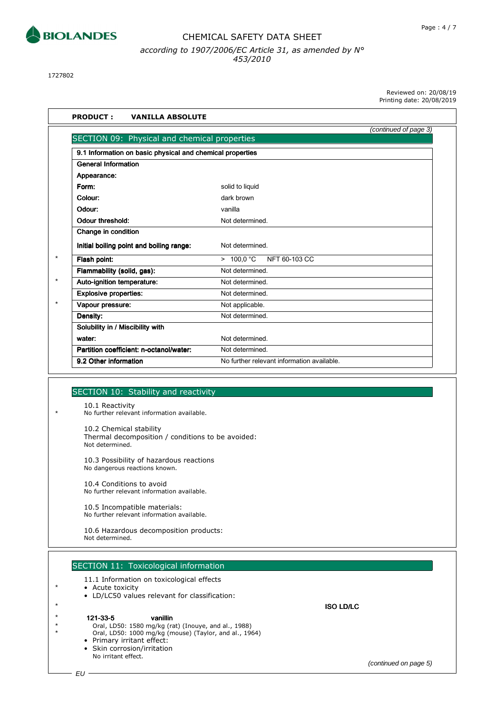

1727802

Reviewed on: 20/08/19 Printing date: 20/08/2019

|                                                           | (continued of page 3)                      |
|-----------------------------------------------------------|--------------------------------------------|
| SECTION 09: Physical and chemical properties              |                                            |
| 9.1 Information on basic physical and chemical properties |                                            |
| <b>General Information</b>                                |                                            |
| Appearance:                                               |                                            |
| Form:                                                     | solid to liquid                            |
| Colour:                                                   | dark brown                                 |
| Odour:                                                    | vanilla                                    |
| Odour threshold:                                          | Not determined.                            |
| Change in condition                                       |                                            |
| Initial boiling point and boiling range:                  | Not determined.                            |
| Flash point:                                              | > 100.0 °C<br>NFT 60-103 CC                |
| Flammability (solid, gas):                                | Not determined.                            |
| Auto-ignition temperature:                                | Not determined.                            |
| <b>Explosive properties:</b>                              | Not determined.                            |
| Vapour pressure:                                          | Not applicable.                            |
| Density:                                                  | Not determined.                            |
| Solubility in / Miscibility with                          |                                            |
| water:                                                    | Not determined.                            |
| Partition coefficient: n-octanol/water:                   | Not determined.                            |
| 9.2 Other information                                     | No further relevant information available. |

#### SECTION 10: Stability and reactivity

10.1 Reactivity \* No further relevant information available.

> 10.2 Chemical stability Thermal decomposition / conditions to be avoided: Not determined.

10.3 Possibility of hazardous reactions No dangerous reactions known.

10.4 Conditions to avoid No further relevant information available.

10.5 Incompatible materials: No further relevant information available.

10.6 Hazardous decomposition products: Not determined.

- SECTION 11: Toxicological information 11.1 Information on toxicological effects
- 
- \* Acute toxicity
	- LD/LC50 values relevant for classification:
- 
- \* 121-33-5 vanillin 121-33-5 vanillin
- \* Oral, LD50: 1580 mg/kg (rat) (Inouye, and al., 1988)
- \* Oral, LD50: 1000 mg/kg (mouse) (Taylor, and al., 1964)
	- Primary irritant effect:
	- Skin corrosion/irritation No irritant effect.

\* ISO LD/LC

(continued on page 5)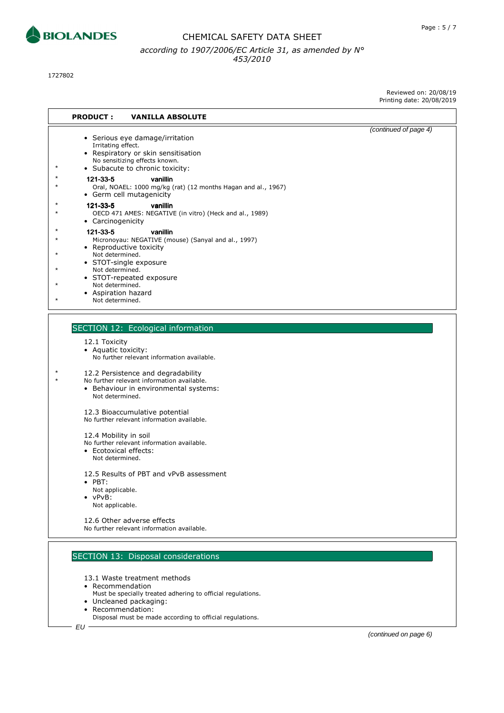

1727802

Reviewed on: 20/08/19 Printing date: 20/08/2019

| <b>PRODUCT:</b><br><b>VANILLA ABSOLUTE</b>                                                                                                                                                                                                                                            |                       |
|---------------------------------------------------------------------------------------------------------------------------------------------------------------------------------------------------------------------------------------------------------------------------------------|-----------------------|
| • Serious eye damage/irritation<br>Irritating effect.<br>• Respiratory or skin sensitisation<br>No sensitizing effects known.<br>• Subacute to chronic toxicity:<br>121-33-5<br>vanillin<br>Oral, NOAEL: 1000 mg/kg (rat) (12 months Hagan and al., 1967)<br>• Germ cell mutagenicity | (continued of page 4) |
| 121-33-5<br>vanillin<br>OECD 471 AMES: NEGATIVE (in vitro) (Heck and al., 1989)<br>• Carcinogenicity                                                                                                                                                                                  |                       |
| 121-33-5<br>vanillin<br>Micronoyau: NEGATIVE (mouse) (Sanyal and al., 1997)<br>• Reproductive toxicity<br>Not determined.<br>• STOT-single exposure<br>Not determined.<br>• STOT-repeated exposure<br>Not determined.<br>• Aspiration hazard<br>Not determined.                       |                       |
| <b>SECTION 12: Ecological information</b>                                                                                                                                                                                                                                             |                       |
| 12.1 Toxicity<br>• Aquatic toxicity:<br>No further relevant information available.                                                                                                                                                                                                    |                       |
| 12.2 Persistence and degradability<br>No further relevant information available.<br>• Behaviour in environmental systems:<br>Not determined.                                                                                                                                          |                       |
| 12.3 Bioaccumulative potential<br>No further relevant information available.                                                                                                                                                                                                          |                       |
| 12.4 Mobility in soil<br>No further relevant information available.<br>• Ecotoxical effects:<br>Not determined.                                                                                                                                                                       |                       |
| 12.5 Results of PBT and vPvB assessment<br>$\bullet$ PBT:<br>Not applicable.<br>vPvB:<br>Not applicable.                                                                                                                                                                              |                       |

12.6 Other adverse effects No further relevant information available.

# SECTION 13: Disposal considerations

13.1 Waste treatment methods

- Recommendation
- Must be specially treated adhering to official regulations.
- Uncleaned packaging:
- Recommendation:
	- Disposal must be made according to official regulations.

(continued on page 6)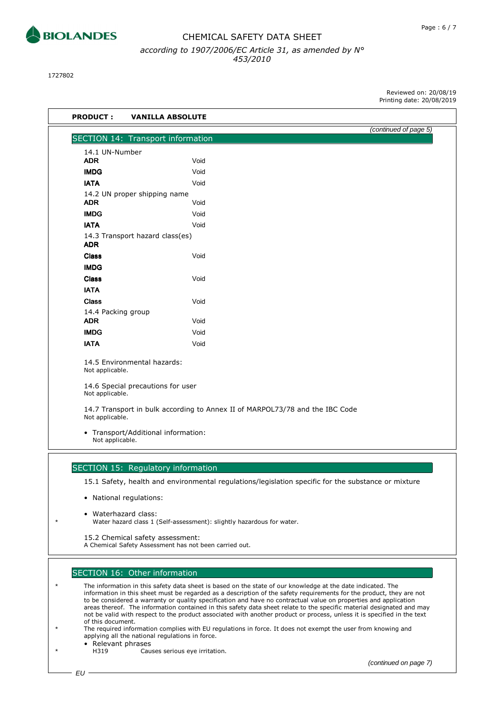

1727802

Reviewed on: 20/08/19 Printing date: 20/08/2019

| SECTION 14: Transport information<br>14.1 UN-Number<br><b>ADR</b><br>Void<br><b>IMDG</b><br>Void<br><b>IATA</b><br>Void<br>14.2 UN proper shipping name<br><b>ADR</b><br>Void<br><b>IMDG</b><br>Void<br><b>IATA</b><br>Void<br>14.3 Transport hazard class(es)<br><b>ADR</b><br>Void<br><b>Class</b><br><b>IMDG</b><br><b>Class</b><br>Void<br><b>IATA</b><br><b>Class</b><br>Void<br>14.4 Packing group<br><b>ADR</b><br>Void<br><b>IMDG</b><br>Void<br><b>IATA</b><br>Void<br>14.5 Environmental hazards:<br>Not applicable.<br>14.6 Special precautions for user<br>Not applicable.<br>14.7 Transport in bulk according to Annex II of MARPOL73/78 and the IBC Code<br>Not applicable. |                       |
|-------------------------------------------------------------------------------------------------------------------------------------------------------------------------------------------------------------------------------------------------------------------------------------------------------------------------------------------------------------------------------------------------------------------------------------------------------------------------------------------------------------------------------------------------------------------------------------------------------------------------------------------------------------------------------------------|-----------------------|
|                                                                                                                                                                                                                                                                                                                                                                                                                                                                                                                                                                                                                                                                                           | (continued of page 5) |
|                                                                                                                                                                                                                                                                                                                                                                                                                                                                                                                                                                                                                                                                                           |                       |
|                                                                                                                                                                                                                                                                                                                                                                                                                                                                                                                                                                                                                                                                                           |                       |
|                                                                                                                                                                                                                                                                                                                                                                                                                                                                                                                                                                                                                                                                                           |                       |
|                                                                                                                                                                                                                                                                                                                                                                                                                                                                                                                                                                                                                                                                                           |                       |
|                                                                                                                                                                                                                                                                                                                                                                                                                                                                                                                                                                                                                                                                                           |                       |
|                                                                                                                                                                                                                                                                                                                                                                                                                                                                                                                                                                                                                                                                                           |                       |
|                                                                                                                                                                                                                                                                                                                                                                                                                                                                                                                                                                                                                                                                                           |                       |
|                                                                                                                                                                                                                                                                                                                                                                                                                                                                                                                                                                                                                                                                                           |                       |
|                                                                                                                                                                                                                                                                                                                                                                                                                                                                                                                                                                                                                                                                                           |                       |
|                                                                                                                                                                                                                                                                                                                                                                                                                                                                                                                                                                                                                                                                                           |                       |
|                                                                                                                                                                                                                                                                                                                                                                                                                                                                                                                                                                                                                                                                                           |                       |
|                                                                                                                                                                                                                                                                                                                                                                                                                                                                                                                                                                                                                                                                                           |                       |
|                                                                                                                                                                                                                                                                                                                                                                                                                                                                                                                                                                                                                                                                                           |                       |
|                                                                                                                                                                                                                                                                                                                                                                                                                                                                                                                                                                                                                                                                                           |                       |
|                                                                                                                                                                                                                                                                                                                                                                                                                                                                                                                                                                                                                                                                                           |                       |
|                                                                                                                                                                                                                                                                                                                                                                                                                                                                                                                                                                                                                                                                                           |                       |
|                                                                                                                                                                                                                                                                                                                                                                                                                                                                                                                                                                                                                                                                                           |                       |
|                                                                                                                                                                                                                                                                                                                                                                                                                                                                                                                                                                                                                                                                                           |                       |
|                                                                                                                                                                                                                                                                                                                                                                                                                                                                                                                                                                                                                                                                                           |                       |
|                                                                                                                                                                                                                                                                                                                                                                                                                                                                                                                                                                                                                                                                                           |                       |
|                                                                                                                                                                                                                                                                                                                                                                                                                                                                                                                                                                                                                                                                                           |                       |
|                                                                                                                                                                                                                                                                                                                                                                                                                                                                                                                                                                                                                                                                                           |                       |
| • Transport/Additional information:<br>Not applicable.                                                                                                                                                                                                                                                                                                                                                                                                                                                                                                                                                                                                                                    |                       |
|                                                                                                                                                                                                                                                                                                                                                                                                                                                                                                                                                                                                                                                                                           |                       |

15.1 Safety, health and environmental regulations/legislation specific for the substance or mixture

- National regulations:
- Waterhazard class: Water hazard class 1 (Self-assessment): slightly hazardous for water.
- 15.2 Chemical safety assessment:

A Chemical Safety Assessment has not been carried out.

#### SECTION 16: Other information

The information in this safety data sheet is based on the state of our knowledge at the date indicated. The information in this sheet must be regarded as a description of the safety requirements for the product, they are not to be considered a warranty or quality specification and have no contractual value on properties and application areas thereof. The information contained in this safety data sheet relate to the specific material designated and may not be valid with respect to the product associated with another product or process, unless it is specified in the text of this document.

- The required information complies with EU regulations in force. It does not exempt the user from knowing and applying all the national regulations in force.
	- Relevant phrases<br>H319 Cau
	- Causes serious eye irritation.

(continued on page 7)